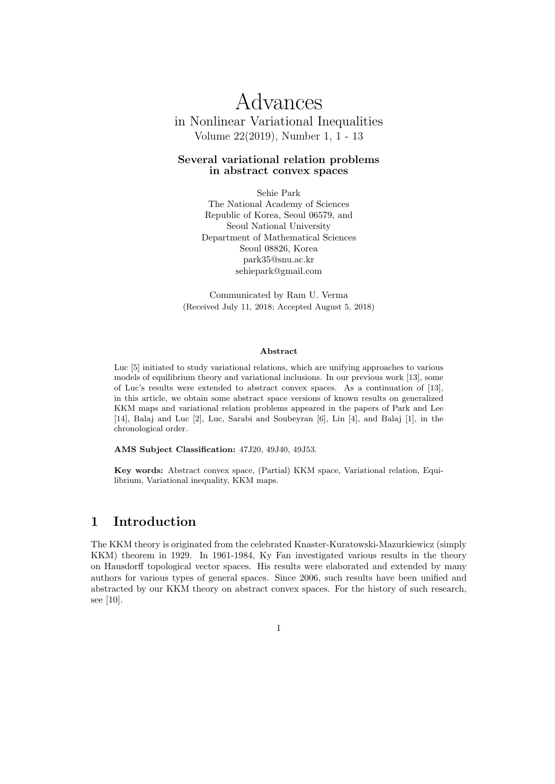# Advances in Nonlinear Variational Inequalities Volume 22(2019), Number 1, 1 - 13

#### Several variational relation problems in abstract convex spaces

Sehie Park The National Academy of Sciences Republic of Korea, Seoul 06579, and Seoul National University Department of Mathematical Sciences Seoul 08826, Korea park35@snu.ac.kr sehiepark@gmail.com

Communicated by Ram U. Verma (Received July 11, 2018; Accepted August 5, 2018)

#### Abstract

Luc [5] initiated to study variational relations, which are unifying approaches to various models of equilibrium theory and variational inclusions. In our previous work [13], some of Luc's results were extended to abstract convex spaces. As a continuation of [13], in this article, we obtain some abstract space versions of known results on generalized KKM maps and variational relation problems appeared in the papers of Park and Lee [14], Balaj and Luc [2], Luc, Sarabi and Soubeyran [6], Lin [4], and Balaj [1], in the chronological order.

AMS Subject Classification: 47J20, 49J40, 49J53.

Key words: Abstract convex space, (Partial) KKM space, Variational relation, Equilibrium, Variational inequality, KKM maps.

#### 1 Introduction

The KKM theory is originated from the celebrated Knaster-Kuratowski-Mazurkiewicz (simply KKM) theorem in 1929. In 1961-1984, Ky Fan investigated various results in the theory on Hausdorff topological vector spaces. His results were elaborated and extended by many authors for various types of general spaces. Since 2006, such results have been unified and abstracted by our KKM theory on abstract convex spaces. For the history of such research, see [10].

1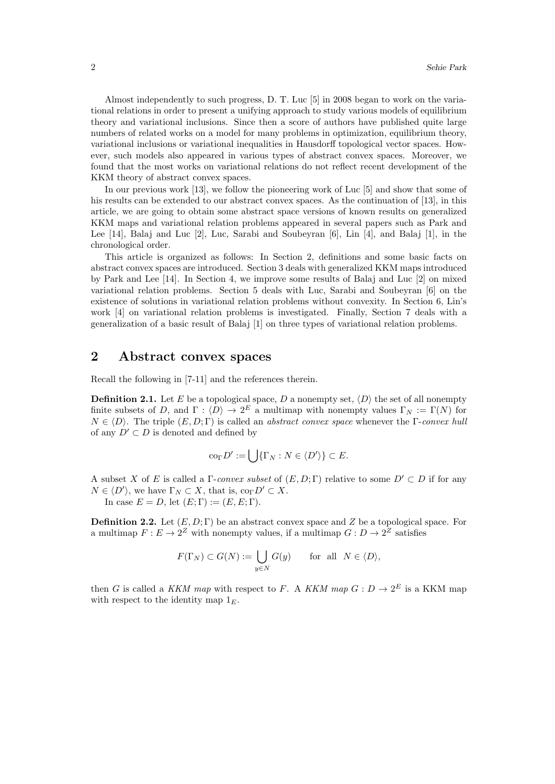Almost independently to such progress, D. T. Luc [5] in 2008 began to work on the variational relations in order to present a unifying approach to study various models of equilibrium theory and variational inclusions. Since then a score of authors have published quite large numbers of related works on a model for many problems in optimization, equilibrium theory, variational inclusions or variational inequalities in Hausdorff topological vector spaces. However, such models also appeared in various types of abstract convex spaces. Moreover, we found that the most works on variational relations do not reflect recent development of the KKM theory of abstract convex spaces.

In our previous work [13], we follow the pioneering work of Luc [5] and show that some of his results can be extended to our abstract convex spaces. As the continuation of [13], in this article, we are going to obtain some abstract space versions of known results on generalized KKM maps and variational relation problems appeared in several papers such as Park and Lee [14], Balaj and Luc [2], Luc, Sarabi and Soubeyran [6], Lin [4], and Balaj [1], in the chronological order.

This article is organized as follows: In Section 2, definitions and some basic facts on abstract convex spaces are introduced. Section 3 deals with generalized KKM maps introduced by Park and Lee [14]. In Section 4, we improve some results of Balaj and Luc [2] on mixed variational relation problems. Section 5 deals with Luc, Sarabi and Soubeyran [6] on the existence of solutions in variational relation problems without convexity. In Section 6, Lin's work [4] on variational relation problems is investigated. Finally, Section 7 deals with a generalization of a basic result of Balaj [1] on three types of variational relation problems.

### 2 Abstract convex spaces

Recall the following in [7-11] and the references therein.

**Definition 2.1.** Let E be a topological space, D a nonempty set,  $\langle D \rangle$  the set of all nonempty finite subsets of D, and  $\Gamma : \langle D \rangle \to 2^E$  a multimap with nonempty values  $\Gamma_N := \Gamma(N)$  for  $N \in \langle D \rangle$ . The triple  $(E, D; \Gamma)$  is called an *abstract convex space* whenever the Γ-convex hull of any  $D' \subset D$  is denoted and defined by

$$
\mathrm{co}_{\Gamma} D' := \bigcup \{ \Gamma_N : N \in \langle D' \rangle \} \subset E.
$$

A subset X of E is called a Γ-convex subset of  $(E, D; \Gamma)$  relative to some  $D' \subset D$  if for any  $N \in \langle D' \rangle$ , we have  $\Gamma_N \subset X$ , that is,  $\text{co}_{\Gamma} D' \subset X$ . In case  $E = D$ , let  $(E; \Gamma) := (E, E; \Gamma)$ .

**Definition 2.2.** Let  $(E, D; \Gamma)$  be an abstract convex space and Z be a topological space. For a multimap  $F: E \to 2^Z$  with nonempty values, if a multimap  $G: D \to 2^Z$  satisfies

$$
F(\Gamma_N) \subset G(N) := \bigcup_{y \in N} G(y) \quad \text{for all } N \in \langle D \rangle,
$$

then G is called a KKM map with respect to F. A KKM map  $G: D \to 2^E$  is a KKM map with respect to the identity map  $1<sub>E</sub>$ .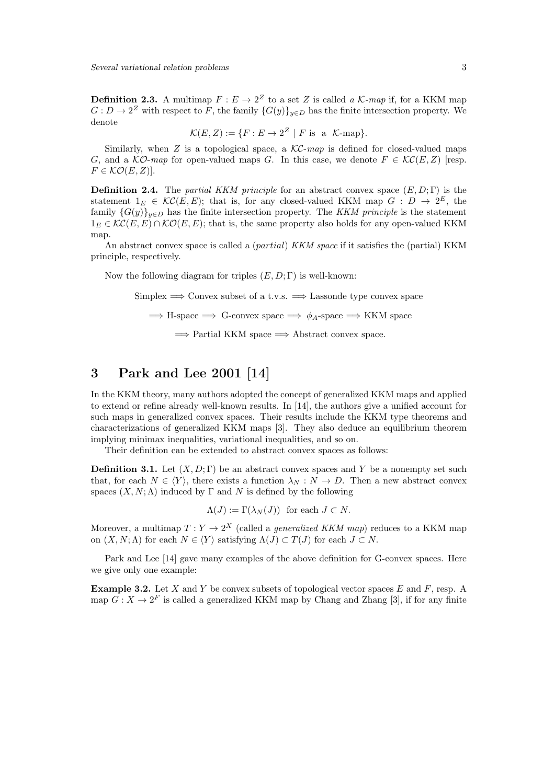**Definition 2.3.** A multimap  $F: E \to 2^Z$  to a set Z is called a  $\mathcal{K}\text{-}map$  if, for a KKM map  $G: D \to 2^Z$  with respect to F, the family  $\{G(y)\}_{y \in D}$  has the finite intersection property. We denote

$$
\mathcal{K}(E, Z) := \{ F : E \to 2^Z \mid F \text{ is a } \mathcal{K}\text{-map} \}.
$$

Similarly, when Z is a topological space, a  $\mathcal{KC}$ -map is defined for closed-valued maps G, and a  $\mathcal{KO}\text{-}map$  for open-valued maps G. In this case, we denote  $F \in \mathcal{KC}(E, Z)$  [resp.  $F \in \mathcal{KO}(E,Z)$ ].

**Definition 2.4.** The partial KKM principle for an abstract convex space  $(E, D; \Gamma)$  is the statement  $1_E \in \mathcal{KC}(E,E)$ ; that is, for any closed-valued KKM map  $G : D \to 2^E$ , the family  $\{G(y)\}_{y\in D}$  has the finite intersection property. The KKM principle is the statement  $1_E \in \mathcal{KC}(E, E) \cap \mathcal{KO}(E, E)$ ; that is, the same property also holds for any open-valued KKM map.

An abstract convex space is called a (partial) KKM space if it satisfies the (partial) KKM principle, respectively.

Now the following diagram for triples  $(E, D; \Gamma)$  is well-known:

Simplex  $\implies$  Convex subset of a t.v.s.  $\implies$  Lassonde type convex space

 $\implies$  H-space  $\implies$  G-convex space  $\implies \phi_A$ -space  $\implies$  KKM space

 $\Rightarrow$  Partial KKM space  $\Rightarrow$  Abstract convex space.

## 3 Park and Lee 2001 [14]

In the KKM theory, many authors adopted the concept of generalized KKM maps and applied to extend or refine already well-known results. In [14], the authors give a unified account for such maps in generalized convex spaces. Their results include the KKM type theorems and characterizations of generalized KKM maps [3]. They also deduce an equilibrium theorem implying minimax inequalities, variational inequalities, and so on.

Their definition can be extended to abstract convex spaces as follows:

**Definition 3.1.** Let  $(X, D; \Gamma)$  be an abstract convex spaces and Y be a nonempty set such that, for each  $N \in \langle Y \rangle$ , there exists a function  $\lambda_N : N \to D$ . Then a new abstract convex spaces  $(X, N; \Lambda)$  induced by  $\Gamma$  and N is defined by the following

$$
\Lambda(J) := \Gamma(\lambda_N(J)) \text{ for each } J \subset N.
$$

Moreover, a multimap  $T: Y \to 2^X$  (called a *generalized KKM map*) reduces to a KKM map on  $(X, N; \Lambda)$  for each  $N \in \langle Y \rangle$  satisfying  $\Lambda(J) \subset T(J)$  for each  $J \subset N$ .

Park and Lee [14] gave many examples of the above definition for G-convex spaces. Here we give only one example:

**Example 3.2.** Let X and Y be convex subsets of topological vector spaces E and F, resp. A map  $G: X \to 2^F$  is called a generalized KKM map by Chang and Zhang [3], if for any finite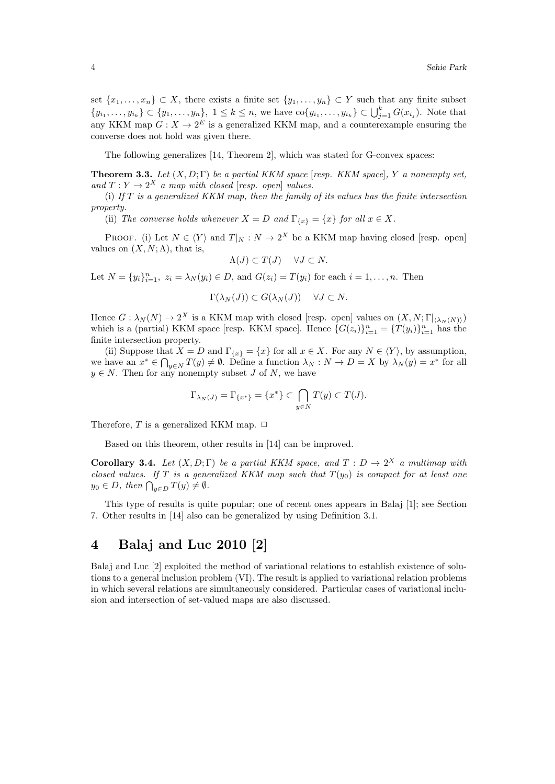set  $\{x_1, \ldots, x_n\} \subset X$ , there exists a finite set  $\{y_1, \ldots, y_n\} \subset Y$  such that any finite subset  $\{y_{i_1}, \ldots, y_{i_k}\} \subset \{y_1, \ldots, y_n\}, \ 1 \leq k \leq n$ , we have  $\text{co}\{y_{i_1}, \ldots, y_{i_k}\} \subset \bigcup_{j=1}^k G(x_{i_j})$ . Note that any KKM map  $G: X \to 2^E$  is a generalized KKM map, and a counterexample ensuring the converse does not hold was given there.

The following generalizes [14, Theorem 2], which was stated for G-convex spaces:

**Theorem 3.3.** Let  $(X, D; \Gamma)$  be a partial KKM space [resp. KKM space], Y a nonempty set, and  $T: Y \to 2^X$  a map with closed [resp. open] values.

(i) If  $T$  is a generalized KKM map, then the family of its values has the finite intersection property.

(ii) The converse holds whenever  $X = D$  and  $\Gamma_{\{x\}} = \{x\}$  for all  $x \in X$ .

PROOF. (i) Let  $N \in \langle Y \rangle$  and  $T|_N : N \to 2^X$  be a KKM map having closed [resp. open] values on  $(X, N; \Lambda)$ , that is,

$$
\Lambda(J) \subset T(J) \quad \forall J \subset N.
$$

Let  $N = \{y_i\}_{i=1}^n$ ,  $z_i = \lambda_N(y_i) \in D$ , and  $G(z_i) = T(y_i)$  for each  $i = 1, ..., n$ . Then

$$
\Gamma(\lambda_N(J)) \subset G(\lambda_N(J)) \quad \forall J \subset N.
$$

Hence  $G: \lambda_N(N) \to 2^X$  is a KKM map with closed [resp. open] values on  $(X, N; \Gamma |_{\langle \lambda_N(N) \rangle})$ which is a (partial) KKM space [resp. KKM space]. Hence  $\{G(z_i)\}_{i=1}^n = \{T(y_i)\}_{i=1}^n$  has the finite intersection property.

(ii) Suppose that  $X = D$  and  $\Gamma_{\{x\}} = \{x\}$  for all  $x \in X$ . For any  $N \in \langle Y \rangle$ , by assumption, we have an  $x^* \in \bigcap_{y \in N} T(y) \neq \emptyset$ . Define a function  $\lambda_N : N \to D = X$  by  $\lambda_N(y) = x^*$  for all  $y \in N$ . Then for any nonempty subset J of N, we have

$$
\Gamma_{\lambda_N(J)} = \Gamma_{\{x^*\}} = \{x^*\} \subset \bigcap_{y \in N} T(y) \subset T(J).
$$

Therefore, T is a generalized KKM map.  $\Box$ 

Based on this theorem, other results in [14] can be improved.

**Corollary 3.4.** Let  $(X, D; \Gamma)$  be a partial KKM space, and  $T : D \to 2^X$  a multimap with closed values. If T is a generalized KKM map such that  $T(y_0)$  is compact for at least one  $y_0 \in D$ , then  $\bigcap_{y \in D} T(y) \neq \emptyset$ .

This type of results is quite popular; one of recent ones appears in Balaj [1]; see Section 7. Other results in [14] also can be generalized by using Definition 3.1.

#### 4 Balaj and Luc 2010 [2]

Balaj and Luc [2] exploited the method of variational relations to establish existence of solutions to a general inclusion problem (VI). The result is applied to variational relation problems in which several relations are simultaneously considered. Particular cases of variational inclusion and intersection of set-valued maps are also discussed.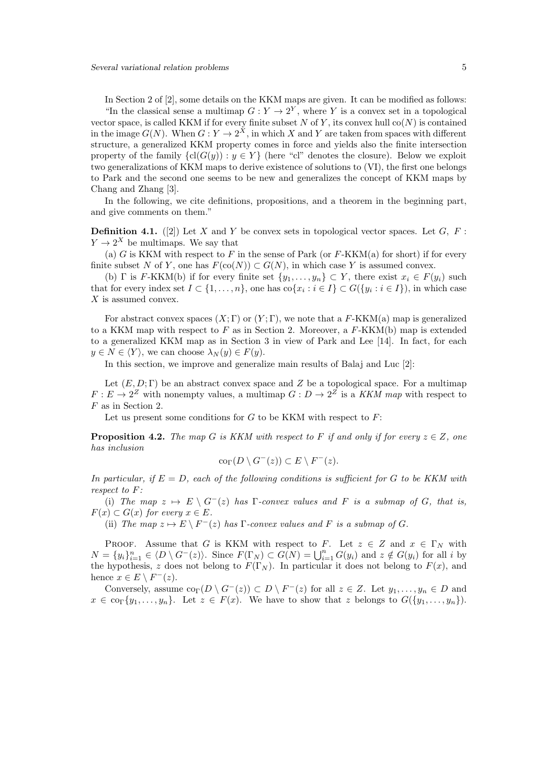In Section 2 of [2], some details on the KKM maps are given. It can be modified as follows: "In the classical sense a multimap  $G: Y \to 2^Y$ , where Y is a convex set in a topological vector space, is called KKM if for every finite subset N of Y, its convex hull  $co(N)$  is contained in the image  $G(N)$ . When  $G: Y \to 2^X$ , in which X and Y are taken from spaces with different structure, a generalized KKM property comes in force and yields also the finite intersection property of the family  ${c1}(G(y)) : y \in Y}$  (here "cl" denotes the closure). Below we exploit two generalizations of KKM maps to derive existence of solutions to (VI), the first one belongs to Park and the second one seems to be new and generalizes the concept of KKM maps by Chang and Zhang [3].

In the following, we cite definitions, propositions, and a theorem in the beginning part, and give comments on them."

**Definition 4.1.** ([2]) Let X and Y be convex sets in topological vector spaces. Let  $G$ ,  $F$ :  $Y \to 2^X$  be multimaps. We say that

(a) G is KKM with respect to F in the sense of Park (or  $F-KKM(a)$  for short) if for every finite subset N of Y, one has  $F(\text{co}(N)) \subset G(N)$ , in which case Y is assumed convex.

(b) Γ is F-KKM(b) if for every finite set  $\{y_1, \ldots, y_n\} \subset Y$ , there exist  $x_i \in F(y_i)$  such that for every index set  $I \subset \{1, \ldots, n\}$ , one has  $\text{co}\{x_i : i \in I\} \subset G(\{y_i : i \in I\})$ , in which case X is assumed convex.

For abstract convex spaces  $(X; \Gamma)$  or  $(Y; \Gamma)$ , we note that a F-KKM(a) map is generalized to a KKM map with respect to  $F$  as in Section 2. Moreover, a  $F-KKM(b)$  map is extended to a generalized KKM map as in Section 3 in view of Park and Lee [14]. In fact, for each  $y \in N \in \langle Y \rangle$ , we can choose  $\lambda_N(y) \in F(y)$ .

In this section, we improve and generalize main results of Balaj and Luc [2]:

Let  $(E, D; \Gamma)$  be an abstract convex space and Z be a topological space. For a multimap  $F: E \to 2^Z$  with nonempty values, a multimap  $G: D \to 2^Z$  is a KKM map with respect to F as in Section 2.

Let us present some conditions for  $G$  to be KKM with respect to  $F$ :

**Proposition 4.2.** The map G is KKM with respect to F if and only if for every  $z \in Z$ , one has inclusion

$$
co_{\Gamma}(D \setminus G^{-}(z)) \subset E \setminus F^{-}(z).
$$

In particular, if  $E = D$ , each of the following conditions is sufficient for G to be KKM with respect to F:

(i) The map  $z \mapsto E \setminus G^{-}(z)$  has Γ-convex values and F is a submap of G, that is,  $F(x) \subset G(x)$  for every  $x \in E$ .

(ii) The map  $z \mapsto E \setminus F^{-}(z)$  has  $\Gamma$ -convex values and  $F$  is a submap of  $G$ .

PROOF. Assume that G is KKM with respect to F. Let  $z \in Z$  and  $x \in \Gamma_N$  with  $N = \{y_i\}_{i=1}^n \in \langle D \setminus G^-(z) \rangle$ . Since  $F(\Gamma_N) \subset \widehat{G(N)} = \bigcup_{i=1}^n G(y_i)$  and  $z \notin G(y_i)$  for all i by the hypothesis, z does not belong to  $F(\Gamma_N)$ . In particular it does not belong to  $F(x)$ , and hence  $x \in E \setminus F^{-}(z)$ .

Conversely, assume  $\text{co}_{\Gamma}(D \setminus G^{-}(z)) \subset D \setminus F^{-}(z)$  for all  $z \in Z$ . Let  $y_1, \ldots, y_n \in D$  and  $x \in \text{cor}\{y_1, \ldots, y_n\}$ . Let  $z \in F(x)$ . We have to show that z belongs to  $G(\{y_1, \ldots, y_n\})$ .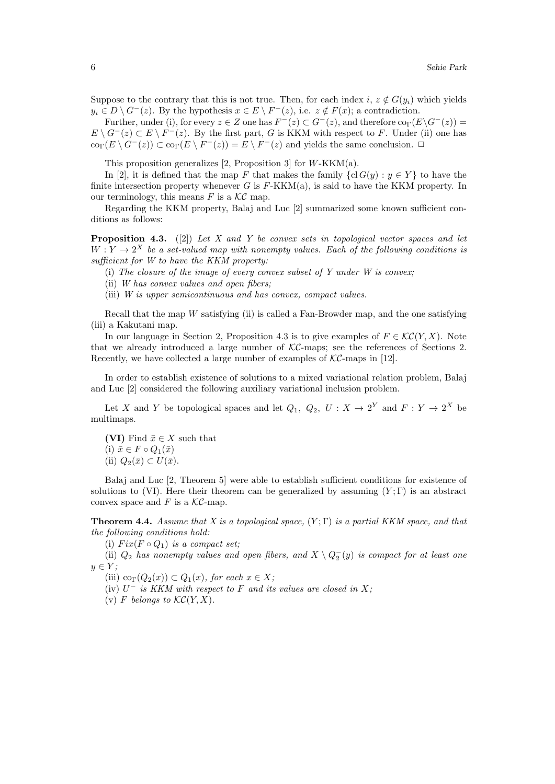Suppose to the contrary that this is not true. Then, for each index i,  $z \notin G(y_i)$  which yields  $y_i \in D \setminus G^-(z)$ . By the hypothesis  $x \in E \setminus F^-(z)$ , i.e.  $z \notin F(x)$ ; a contradiction.

Further, under (i), for every  $z \in Z$  one has  $F^-(z) \subset G^-(z)$ , and therefore  $\text{co}_{\Gamma}(E \backslash G^-(z)) =$  $E \setminus G^-(z) \subset E \setminus F^-(z)$ . By the first part, G is KKM with respect to F. Under (ii) one has  $\operatorname{co}_{\Gamma}(E \setminus G^{-}(z)) \subset \operatorname{co}_{\Gamma}(E \setminus F^{-}(z)) = E \setminus F^{-}(z)$  and yields the same conclusion.  $\Box$ 

This proposition generalizes  $[2,$  Proposition 3 $]$  for W-KKM(a).

In [2], it is defined that the map F that makes the family  $\{cl G(y) : y \in Y\}$  to have the finite intersection property whenever G is  $F-KKM(a)$ , is said to have the KKM property. In our terminology, this means  $F$  is a  $\mathcal{KC}$  map.

Regarding the KKM property, Balaj and Luc [2] summarized some known sufficient conditions as follows:

**Proposition 4.3.** ([2]) Let X and Y be convex sets in topological vector spaces and let  $W: Y \to 2^X$  be a set-valued map with nonempty values. Each of the following conditions is sufficient for W to have the KKM property:

(i) The closure of the image of every convex subset of Y under  $W$  is convex;

(ii) W has convex values and open fibers;

(iii) W is upper semicontinuous and has convex, compact values.

Recall that the map W satisfying (ii) is called a Fan-Browder map, and the one satisfying (iii) a Kakutani map.

In our language in Section 2, Proposition 4.3 is to give examples of  $F \in \mathcal{KC}(Y, X)$ . Note that we already introduced a large number of  $\mathcal{KC}\text{-maps}$ ; see the references of Sections 2. Recently, we have collected a large number of examples of  $\mathcal{KC}$ -maps in [12].

In order to establish existence of solutions to a mixed variational relation problem, Balaj and Luc [2] considered the following auxiliary variational inclusion problem.

Let X and Y be topological spaces and let  $Q_1, Q_2, U : X \to 2^Y$  and  $F : Y \to 2^X$  be multimaps.

(VI) Find  $\bar{x} \in X$  such that (i)  $\bar{x} \in F \circ Q_1(\bar{x})$ (ii)  $Q_2(\bar{x}) \subset U(\bar{x})$ .

Balaj and Luc [2, Theorem 5] were able to establish sufficient conditions for existence of solutions to (VI). Here their theorem can be generalized by assuming  $(Y; \Gamma)$  is an abstract convex space and  $F$  is a  $\mathcal{KC}\text{-map}$ .

**Theorem 4.4.** Assume that X is a topological space,  $(Y; \Gamma)$  is a partial KKM space, and that the following conditions hold:

(i)  $Fix(F \circ Q_1)$  is a compact set;

(ii)  $Q_2$  has nonempty values and open fibers, and  $X \setminus Q_2^-(y)$  is compact for at least one  $y \in Y$ :

(iii)  $\text{co}_{\Gamma}(Q_2(x)) \subset Q_1(x)$ , for each  $x \in X$ ;

(iv)  $U^-$  is KKM with respect to F and its values are closed in X;

(v) F belongs to  $\mathcal{KC}(Y, X)$ .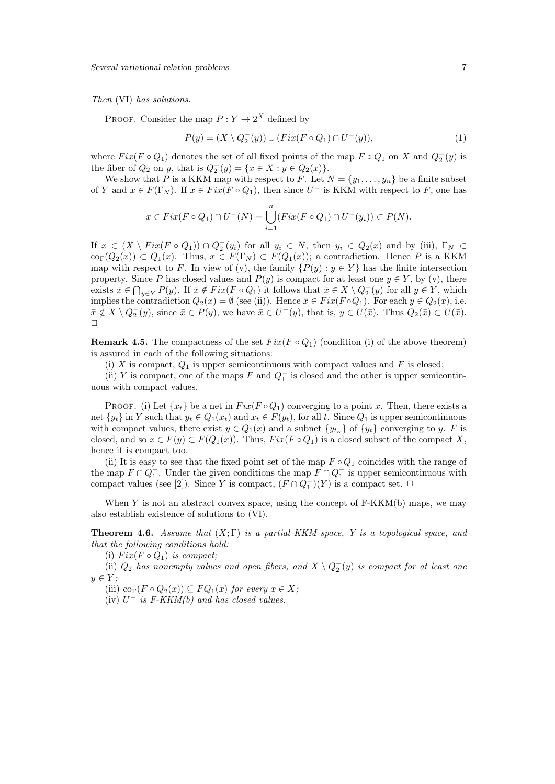Then (VI) has solutions.

PROOF. Consider the map  $P: Y \to 2^X$  defined by

$$
P(y) = (X \setminus Q_2^-(y)) \cup (Fix(F \circ Q_1) \cap U^-(y)),\tag{1}
$$

where  $Fix(F \circ Q_1)$  denotes the set of all fixed points of the map  $F \circ Q_1$  on X and  $Q_2^-(y)$  is the fiber of  $Q_2$  on y, that is  $Q_2^-(y) = \{x \in X : y \in Q_2(x)\}.$ 

We show that P is a KKM map with respect to F. Let  $N = \{y_1, \ldots, y_n\}$  be a finite subset of Y and  $x \in F(\Gamma_N)$ . If  $x \in Fix(F \circ Q_1)$ , then since  $U^-$  is KKM with respect to F, one has

$$
x \in Fix(F \circ Q_1) \cap U^-(N) = \bigcup_{i=1}^n (Fix(F \circ Q_1) \cap U^-(y_i)) \subset P(N).
$$

If  $x \in (X \setminus Fix(F \circ Q_1)) \cap Q_2^-(y_i)$  for all  $y_i \in N$ , then  $y_i \in Q_2(x)$  and by (iii),  $\Gamma_N \subset$  $\operatorname{co}_{\Gamma}(Q_2(x)) \subset Q_1(x)$ . Thus,  $x \in F(\Gamma_N) \subset F(Q_1(x))$ ; a contradiction. Hence P is a KKM map with respect to F. In view of (v), the family  $\{P(y): y \in Y\}$  has the finite intersection property. Since P has closed values and  $P(y)$  is compact for at least one  $y \in Y$ , by (v), there exists  $\bar{x} \in \bigcap_{y \in Y} P(y)$ . If  $\bar{x} \notin Fix(F \circ Q_1)$  it follows that  $\bar{x} \in X \setminus Q_2^-(y)$  for all  $y \in Y$ , which implies the contradiction  $Q_2(x) = \emptyset$  (see (ii)). Hence  $\bar{x} \in Fix(F \circ Q_1)$ . For each  $y \in Q_2(x)$ , i.e.  $\bar{x} \notin X \setminus Q_2^-(y)$ , since  $\bar{x} \in P(y)$ , we have  $\bar{x} \in U^-(y)$ , that is,  $y \in U(\bar{x})$ . Thus  $Q_2(\bar{x}) \subset U(\bar{x})$ .  $\Box$ 

**Remark 4.5.** The compactness of the set  $Fix(F \circ Q_1)$  (condition (i) of the above theorem) is assured in each of the following situations:

(i) X is compact,  $Q_1$  is upper semicontinuous with compact values and F is closed;

(ii) Y is compact, one of the maps F and  $Q_1^-$  is closed and the other is upper semicontinuous with compact values.

PROOF. (i) Let  $\{x_t\}$  be a net in  $Fix(F \circ Q_1)$  converging to a point x. Then, there exists a net  $\{y_t\}$  in Y such that  $y_t \in Q_1(x_t)$  and  $x_t \in F(y_t)$ , for all t. Since  $Q_1$  is upper semicontinuous with compact values, there exist  $y \in Q_1(x)$  and a subnet  $\{y_{t_\alpha}\}\$  of  $\{y_t\}$  converging to y. F is closed, and so  $x \in F(y) \subset F(Q_1(x))$ . Thus,  $Fix(F \circ Q_1)$  is a closed subset of the compact X, hence it is compact too.

(ii) It is easy to see that the fixed point set of the map  $F \circ Q_1$  coincides with the range of the map  $F \cap Q_1^-$ . Under the given conditions the map  $F \cap Q_1^-$  is upper semicontinuous with compact values (see [2]). Since Y is compact,  $(F \cap Q_1^-)(Y)$  is a compact set.  $\Box$ 

When  $Y$  is not an abstract convex space, using the concept of  $F-KKM(b)$  maps, we may also establish existence of solutions to (VI).

**Theorem 4.6.** Assume that  $(X; \Gamma)$  is a partial KKM space, Y is a topological space, and that the following conditions hold:

(i)  $Fix(F \circ Q_1)$  is compact;

(ii)  $Q_2$  has nonempty values and open fibers, and  $X \setminus Q_2^-(y)$  is compact for at least one  $y \in Y;$ 

(iii) co<sub>Γ</sub> $(F \circ Q_2(x)) \subseteq FQ_1(x)$  for every  $x \in X$ ;

(iv)  $U^-$  is F-KKM(b) and has closed values.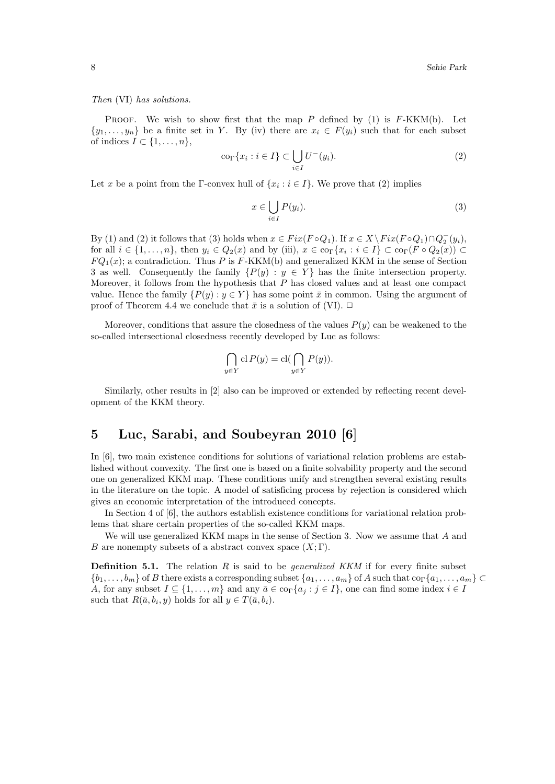Then (VI) has solutions.

PROOF. We wish to show first that the map  $P$  defined by (1) is  $F-KKM(b)$ . Let  $\{y_1, \ldots, y_n\}$  be a finite set in Y. By (iv) there are  $x_i \in F(y_i)$  such that for each subset of indices  $I \subset \{1, \ldots, n\},\$ 

$$
\operatorname{co}_{\Gamma}\{x_i : i \in I\} \subset \bigcup_{i \in I} U^{-}(y_i). \tag{2}
$$

Let x be a point from the  $\Gamma$ -convex hull of  $\{x_i : i \in I\}$ . We prove that (2) implies

$$
x \in \bigcup_{i \in I} P(y_i). \tag{3}
$$

By (1) and (2) it follows that (3) holds when  $x \in Fix(F \circ Q_1)$ . If  $x \in X \setminus Fix(F \circ Q_1) \cap Q_2^-(y_i)$ , for all  $i \in \{1, \ldots, n\}$ , then  $y_i \in Q_2(x)$  and by (iii),  $x \in \text{co}_\Gamma\{x_i : i \in I\} \subset \text{co}_\Gamma(F \circ Q_2(x)) \subset$  $FQ_1(x)$ ; a contradiction. Thus P is F-KKM(b) and generalized KKM in the sense of Section 3 as well. Consequently the family  $\{P(y) : y \in Y\}$  has the finite intersection property. Moreover, it follows from the hypothesis that P has closed values and at least one compact value. Hence the family  $\{P(y): y \in Y\}$  has some point  $\bar{x}$  in common. Using the argument of proof of Theorem 4.4 we conclude that  $\bar{x}$  is a solution of (VI).  $\Box$ 

Moreover, conditions that assure the closedness of the values  $P(y)$  can be weakened to the so-called intersectional closedness recently developed by Luc as follows:

$$
\bigcap_{y \in Y} \text{cl } P(y) = \text{cl}(\bigcap_{y \in Y} P(y)).
$$

Similarly, other results in [2] also can be improved or extended by reflecting recent development of the KKM theory.

#### 5 Luc, Sarabi, and Soubeyran 2010 [6]

In [6], two main existence conditions for solutions of variational relation problems are established without convexity. The first one is based on a finite solvability property and the second one on generalized KKM map. These conditions unify and strengthen several existing results in the literature on the topic. A model of satisficing process by rejection is considered which gives an economic interpretation of the introduced concepts.

In Section 4 of [6], the authors establish existence conditions for variational relation problems that share certain properties of the so-called KKM maps.

We will use generalized KKM maps in the sense of Section 3. Now we assume that A and B are nonempty subsets of a abstract convex space  $(X; \Gamma)$ .

**Definition 5.1.** The relation R is said to be *generalized KKM* if for every finite subset  ${b_1,\ldots,b_m}$  of B there exists a corresponding subset  ${a_1,\ldots,a_m}$  of A such that  $\text{co}_\Gamma{a_1,\ldots,a_m} \subset$ A, for any subset  $I \subseteq \{1, \ldots, m\}$  and any  $\bar{a} \in \text{co}_{\Gamma}\{a_j : j \in I\}$ , one can find some index  $i \in I$ such that  $R(\bar{a}, b_i, y)$  holds for all  $y \in T(\bar{a}, b_i)$ .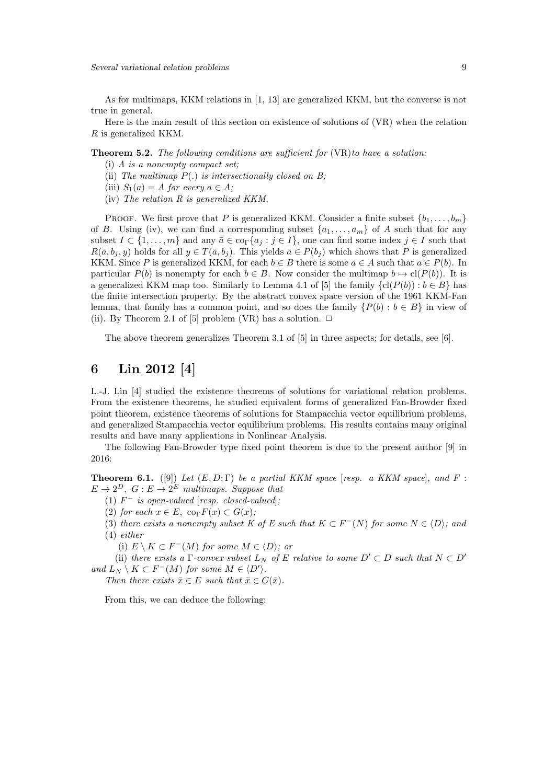As for multimaps, KKM relations in [1, 13] are generalized KKM, but the converse is not true in general.

Here is the main result of this section on existence of solutions of (VR) when the relation R is generalized KKM.

**Theorem 5.2.** The following conditions are sufficient for  $(VR)$  to have a solution:

- (i) A is a nonempty compact set;
- (ii) The multimap  $P(.)$  is intersectionally closed on B;
- (iii)  $S_1(a) = A$  for every  $a \in A$ ;
- (iv) The relation R is generalized KKM.

PROOF. We first prove that P is generalized KKM. Consider a finite subset  $\{b_1, \ldots, b_m\}$ of B. Using (iv), we can find a corresponding subset  $\{a_1, \ldots, a_m\}$  of A such that for any subset  $I \subset \{1, \ldots, m\}$  and any  $\bar{a} \in \text{cor}\{a_j : j \in I\}$ , one can find some index  $j \in I$  such that  $R(\bar{a}, b_i, y)$  holds for all  $y \in T(\bar{a}, b_i)$ . This yields  $\bar{a} \in P(b_i)$  which shows that P is generalized KKM. Since P is generalized KKM, for each  $b \in B$  there is some  $a \in A$  such that  $a \in P(b)$ . In particular  $P(b)$  is nonempty for each  $b \in B$ . Now consider the multimap  $b \mapsto cl(P(b))$ . It is a generalized KKM map too. Similarly to Lemma 4.1 of [5] the family  $\{cl(P(b)) : b \in B\}$  has the finite intersection property. By the abstract convex space version of the 1961 KKM-Fan lemma, that family has a common point, and so does the family  $\{P(b) : b \in B\}$  in view of (ii). By Theorem 2.1 of [5] problem (VR) has a solution.  $\Box$ 

The above theorem generalizes Theorem 3.1 of [5] in three aspects; for details, see [6].

### 6 Lin 2012 [4]

L.-J. Lin [4] studied the existence theorems of solutions for variational relation problems. From the existence theorems, he studied equivalent forms of generalized Fan-Browder fixed point theorem, existence theorems of solutions for Stampacchia vector equilibrium problems, and generalized Stampacchia vector equilibrium problems. His results contains many original results and have many applications in Nonlinear Analysis.

The following Fan-Browder type fixed point theorem is due to the present author [9] in 2016:

**Theorem 6.1.** ([9]) Let  $(E, D; \Gamma)$  be a partial KKM space [resp. a KKM space], and F:  $E \to 2^D$ ,  $G : E \to 2^E$  multimaps. Suppose that

(1)  $F^-$  is open-valued [resp. closed-valued];

(2) for each  $x \in E$ , co<sub> $\Gamma$ </sub> $F(x) \subset G(x)$ ;

(3) there exists a nonempty subset K of E such that  $K \subset F^{-1}(N)$  for some  $N \in \langle D \rangle$ ; and (4) either

(i)  $E \setminus K \subset F^{-}(M)$  for some  $M \in \langle D \rangle$ ; or

(ii) there exists a  $\Gamma$ -convex subset  $L_N$  of E relative to some  $D' \subset D$  such that  $N \subset D'$ and  $L_N \setminus K \subset F^-(M)$  for some  $M \in \langle D' \rangle$ .

Then there exists  $\bar{x} \in E$  such that  $\bar{x} \in G(\bar{x})$ .

From this, we can deduce the following: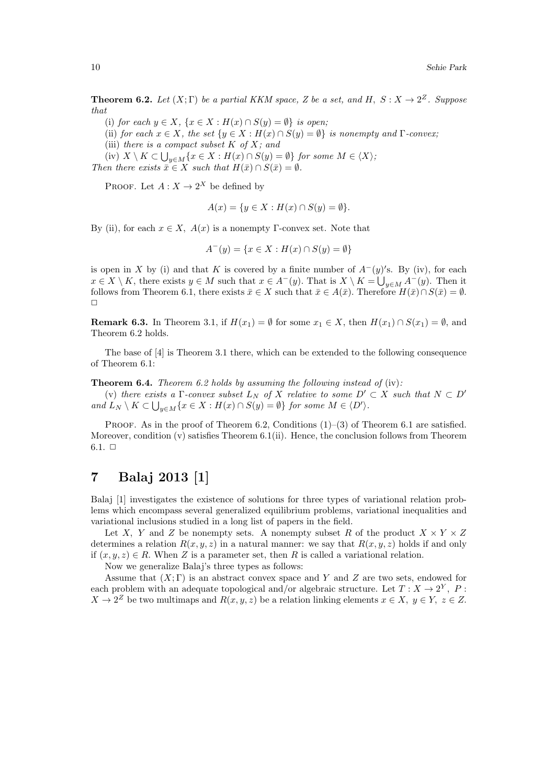**Theorem 6.2.** Let  $(X; \Gamma)$  be a partial KKM space, Z be a set, and H,  $S: X \to 2^Z$ . Suppose that

(i) for each  $y \in X$ ,  $\{x \in X : H(x) \cap S(y) = \emptyset\}$  is open;

(ii) for each  $x \in X$ , the set  $\{y \in X : H(x) \cap S(y) = \emptyset\}$  is nonempty and  $\Gamma$ -convex;

(iii) there is a compact subset  $K$  of  $X$ ; and

(iv)  $X \setminus K \subset \bigcup_{y \in M} \{x \in X : H(x) \cap S(y) = \emptyset\}$  for some  $M \in \langle X \rangle$ ;

Then there exists  $\overline{x} \in X$  such that  $H(\overline{x}) \cap S(\overline{x}) = \emptyset$ .

PROOF. Let  $A: X \to 2^X$  be defined by

$$
A(x) = \{ y \in X : H(x) \cap S(y) = \emptyset \}.
$$

By (ii), for each  $x \in X$ ,  $A(x)$  is a nonempty Γ-convex set. Note that

$$
A^{-}(y) = \{ x \in X : H(x) \cap S(y) = \emptyset \}
$$

is open in X by (i) and that K is covered by a finite number of  $A^-(y)'$ s. By (iv), for each  $x \in X \setminus K$ , there exists  $y \in M$  such that  $x \in A^-(y)$ . That is  $X \setminus K = \bigcup_{y \in M} A^-(y)$ . Then it follows from Theorem 6.1, there exists  $\bar{x} \in X$  such that  $\bar{x} \in A(\bar{x})$ . Therefore  $H(\bar{x}) \cap S(\bar{x}) = \emptyset$ .  $\Box$ 

**Remark 6.3.** In Theorem 3.1, if  $H(x_1) = \emptyset$  for some  $x_1 \in X$ , then  $H(x_1) \cap S(x_1) = \emptyset$ , and Theorem 6.2 holds.

The base of [4] is Theorem 3.1 there, which can be extended to the following consequence of Theorem 6.1:

**Theorem 6.4.** Theorem 6.2 holds by assuming the following instead of (iv):

(v) there exists a  $\Gamma$ -convex subset  $L_N$  of X relative to some  $D' \subset X$  such that  $N \subset D'$ and  $L_N \setminus K \subset \bigcup_{y \in M} \{x \in X : H(x) \cap S(y) = \emptyset\}$  for some  $M \in \langle D' \rangle$ .

PROOF. As in the proof of Theorem 6.2, Conditions  $(1)$ – $(3)$  of Theorem 6.1 are satisfied. Moreover, condition  $(v)$  satisfies Theorem 6.1(ii). Hence, the conclusion follows from Theorem  $6.1. \square$ 

# 7 Balaj 2013 [1]

Balaj [1] investigates the existence of solutions for three types of variational relation problems which encompass several generalized equilibrium problems, variational inequalities and variational inclusions studied in a long list of papers in the field.

Let X, Y and Z be nonempty sets. A nonempty subset R of the product  $X \times Y \times Z$ determines a relation  $R(x, y, z)$  in a natural manner: we say that  $R(x, y, z)$  holds if and only if  $(x, y, z) \in R$ . When Z is a parameter set, then R is called a variational relation.

Now we generalize Balaj's three types as follows:

Assume that  $(X; \Gamma)$  is an abstract convex space and Y and Z are two sets, endowed for each problem with an adequate topological and/or algebraic structure. Let  $T: X \to 2^Y$ , P:  $X \to 2^Z$  be two multimaps and  $R(x, y, z)$  be a relation linking elements  $x \in X$ ,  $y \in Y$ ,  $z \in Z$ .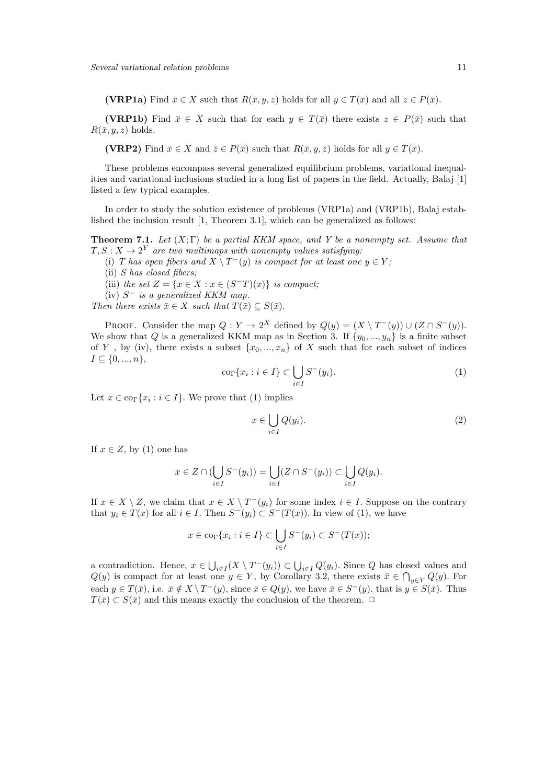(VRP1a) Find  $\bar{x} \in X$  such that  $R(\bar{x}, y, z)$  holds for all  $y \in T(\bar{x})$  and all  $z \in P(\bar{x})$ .

(VRP1b) Find  $\bar{x} \in X$  such that for each  $y \in T(\bar{x})$  there exists  $z \in P(\bar{x})$  such that  $R(\bar{x}, y, z)$  holds.

(VRP2) Find  $\bar{x} \in X$  and  $\bar{z} \in P(\bar{x})$  such that  $R(\bar{x}, y, \bar{z})$  holds for all  $y \in T(\bar{x})$ .

These problems encompass several generalized equilibrium problems, variational inequalities and variational inclusions studied in a long list of papers in the field. Actually, Balaj [1] listed a few typical examples.

In order to study the solution existence of problems (VRP1a) and (VRP1b), Balaj established the inclusion result [1, Theorem 3.1], which can be generalized as follows:

**Theorem 7.1.** Let  $(X;\Gamma)$  be a partial KKM space, and Y be a nonempty set. Assume that  $T, S: X \rightarrow 2^Y$  are two multimaps with nonempty values satisfying:

(i) T has open fibers and  $X \setminus T^-(y)$  is compact for at least one  $y \in Y$ ;

(ii) S has closed fibers;

(iii) the set  $Z = \{x \in X : x \in (S^{\text{-}}T)(x)\}\$ is compact;

 $(iv)$   $S^-$  is a generalized KKM map.

Then there exists  $\bar{x} \in X$  such that  $T(\bar{x}) \subseteq S(\bar{x})$ .

PROOF. Consider the map  $Q: Y \to 2^X$  defined by  $Q(y) = (X \setminus T^{-1}(y)) \cup (Z \cap S^{-1}(y))$ . We show that Q is a generalized KKM map as in Section 3. If  $\{y_0, ..., y_n\}$  is a finite subset of Y, by (iv), there exists a subset  $\{x_0, ..., x_n\}$  of X such that for each subset of indices  $I \subseteq \{0, ..., n\},\$ 

$$
\operatorname{co}_{\Gamma}\{x_i : i \in I\} \subset \bigcup_{i \in I} S^-(y_i). \tag{1}
$$

Let  $x \in \text{co}_{\Gamma} \{x_i : i \in I\}$ . We prove that (1) implies

$$
x \in \bigcup_{i \in I} Q(y_i). \tag{2}
$$

If  $x \in Z$ , by (1) one has

$$
x \in Z \cap (\bigcup_{i \in I} S^-(y_i)) = \bigcup_{i \in I} (Z \cap S^-(y_i)) \subset \bigcup_{i \in I} Q(y_i).
$$

If  $x \in X \setminus Z$ , we claim that  $x \in X \setminus T^-(y_i)$  for some index  $i \in I$ . Suppose on the contrary that  $y_i \in T(x)$  for all  $i \in I$ . Then  $S^-(y_i) \subset S^-(T(x))$ . In view of (1), we have

$$
x \in \text{co}_{\Gamma}\{x_i : i \in I\} \subset \bigcup_{i \in I} S^-(y_i) \subset S^-(T(x));
$$

a contradiction. Hence,  $x \in \bigcup_{i \in I} (X \setminus T^-(y_i)) \subset \bigcup_{i \in I} Q(y_i)$ . Since Q has closed values and  $Q(y)$  is compact for at least one  $y \in Y$ , by Corollary 3.2, there exists  $\bar{x} \in \bigcap_{y \in Y} Q(y)$ . For each  $y \in T(\bar{x})$ , i.e.  $\bar{x} \notin X \setminus T^-(y)$ , since  $\bar{x} \in Q(y)$ , we have  $\bar{x} \in S^-(y)$ , that is  $y \in S(\bar{x})$ . Thus  $T(\bar{x}) \subset S(\bar{x})$  and this means exactly the conclusion of the theorem.  $\Box$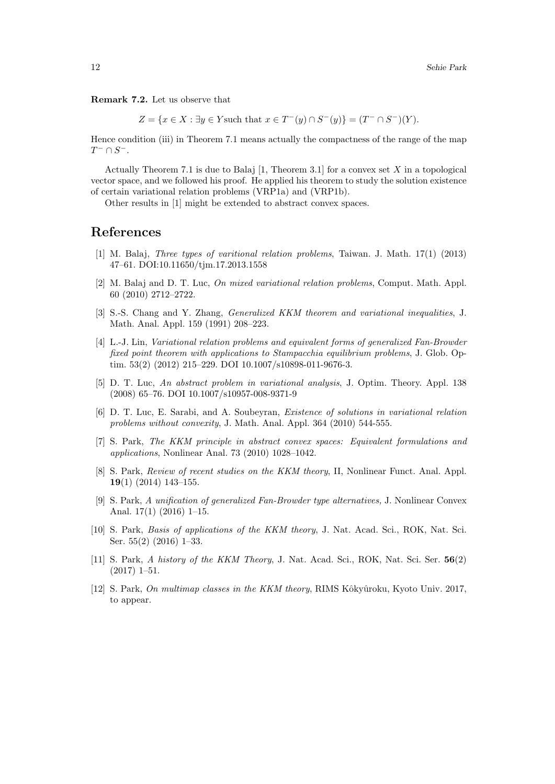Remark 7.2. Let us observe that

 $Z = \{x \in X : \exists y \in Y \text{ such that } x \in T^-(y) \cap S^-(y)\} = (T^- \cap S^-)(Y).$ 

Hence condition (iii) in Theorem 7.1 means actually the compactness of the range of the map  $T^- \cap S^-$ .

Actually Theorem 7.1 is due to Balaj [1, Theorem 3.1] for a convex set X in a topological vector space, and we followed his proof. He applied his theorem to study the solution existence of certain variational relation problems (VRP1a) and (VRP1b).

Other results in [1] might be extended to abstract convex spaces.

#### References

- [1] M. Balaj, Three types of varitional relation problems, Taiwan. J. Math. 17(1) (2013) 47–61. DOI:10.11650/tjm.17.2013.1558
- [2] M. Balaj and D. T. Luc, On mixed variational relation problems, Comput. Math. Appl. 60 (2010) 2712–2722.
- [3] S.-S. Chang and Y. Zhang, Generalized KKM theorem and variational inequalities, J. Math. Anal. Appl. 159 (1991) 208–223.
- [4] L.-J. Lin, Variational relation problems and equivalent forms of generalized Fan-Browder fixed point theorem with applications to Stampacchia equilibrium problems, J. Glob. Optim. 53(2) (2012) 215–229. DOI 10.1007/s10898-011-9676-3.
- [5] D. T. Luc, An abstract problem in variational analysis, J. Optim. Theory. Appl. 138 (2008) 65–76. DOI 10.1007/s10957-008-9371-9
- [6] D. T. Luc, E. Sarabi, and A. Soubeyran, Existence of solutions in variational relation problems without convexity, J. Math. Anal. Appl. 364 (2010) 544-555.
- [7] S. Park, The KKM principle in abstract convex spaces: Equivalent formulations and applications, Nonlinear Anal. 73 (2010) 1028–1042.
- [8] S. Park, Review of recent studies on the KKM theory, II, Nonlinear Funct. Anal. Appl. 19(1) (2014) 143–155.
- [9] S. Park, A unification of generalized Fan-Browder type alternatives, J. Nonlinear Convex Anal. 17(1) (2016) 1–15.
- [10] S. Park, Basis of applications of the KKM theory, J. Nat. Acad. Sci., ROK, Nat. Sci. Ser. 55(2) (2016) 1–33.
- [11] S. Park, A history of the KKM Theory, J. Nat. Acad. Sci., ROK, Nat. Sci. Ser. 56(2) (2017) 1–51.
- [12] S. Park, On multimap classes in the KKM theory, RIMS Kôkyûroku, Kyoto Univ. 2017, to appear.